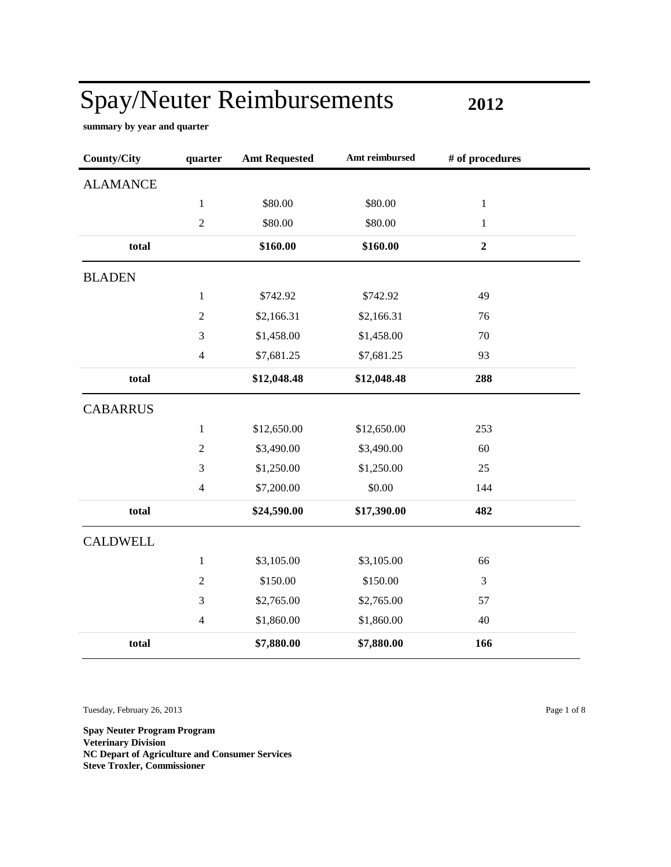**2012**

÷

**summary by year and quarter**

| <b>County/City</b> | quarter        | <b>Amt Requested</b> | Amt reimbursed | # of procedures |
|--------------------|----------------|----------------------|----------------|-----------------|
| <b>ALAMANCE</b>    |                |                      |                |                 |
|                    | $\,1$          | \$80.00              | \$80.00        | $\,1$           |
|                    | $\overline{2}$ | \$80.00              | \$80.00        | $\mathbf{1}$    |
| total              |                | \$160.00             | \$160.00       | $\overline{2}$  |
| <b>BLADEN</b>      |                |                      |                |                 |
|                    | $\mathbf{1}$   | \$742.92             | \$742.92       | 49              |
|                    | $\sqrt{2}$     | \$2,166.31           | \$2,166.31     | 76              |
|                    | $\mathfrak{Z}$ | \$1,458.00           | \$1,458.00     | 70              |
|                    | $\overline{4}$ | \$7,681.25           | \$7,681.25     | 93              |
| total              |                | \$12,048.48          | \$12,048.48    | 288             |
| <b>CABARRUS</b>    |                |                      |                |                 |
|                    | $\mathbf{1}$   | \$12,650.00          | \$12,650.00    | 253             |
|                    | $\sqrt{2}$     | \$3,490.00           | \$3,490.00     | 60              |
|                    | $\mathfrak{Z}$ | \$1,250.00           | \$1,250.00     | 25              |
|                    | $\overline{4}$ | \$7,200.00           | \$0.00         | 144             |
| total              |                | \$24,590.00          | \$17,390.00    | 482             |
| <b>CALDWELL</b>    |                |                      |                |                 |
|                    | $\,1$          | \$3,105.00           | \$3,105.00     | 66              |
|                    | $\overline{2}$ | \$150.00             | \$150.00       | 3               |
|                    | $\mathfrak{Z}$ | \$2,765.00           | \$2,765.00     | 57              |
|                    | $\overline{4}$ | \$1,860.00           | \$1,860.00     | 40              |
| total              |                | \$7,880.00           | \$7,880.00     | 166             |

Tuesday, February 26, 2013 Page 1 of 8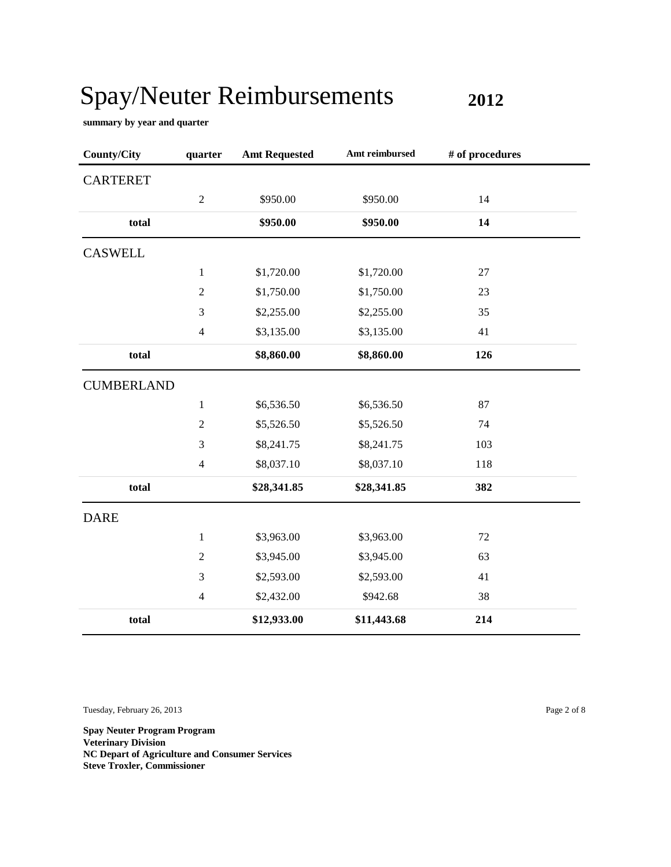**2012**

**summary by year and quarter**

| <b>County/City</b> | quarter          | <b>Amt Requested</b> | Amt reimbursed | # of procedures |  |
|--------------------|------------------|----------------------|----------------|-----------------|--|
| <b>CARTERET</b>    |                  |                      |                |                 |  |
|                    | $\boldsymbol{2}$ | \$950.00             | \$950.00       | 14              |  |
| total              |                  | \$950.00             | \$950.00       | 14              |  |
| <b>CASWELL</b>     |                  |                      |                |                 |  |
|                    | $\mathbf{1}$     | \$1,720.00           | \$1,720.00     | 27              |  |
|                    | $\boldsymbol{2}$ | \$1,750.00           | \$1,750.00     | 23              |  |
|                    | 3                | \$2,255.00           | \$2,255.00     | 35              |  |
|                    | $\overline{4}$   | \$3,135.00           | \$3,135.00     | 41              |  |
| total              |                  | \$8,860.00           | \$8,860.00     | 126             |  |
| <b>CUMBERLAND</b>  |                  |                      |                |                 |  |
|                    | $\,1$            | \$6,536.50           | \$6,536.50     | 87              |  |
|                    | $\mathbf{2}$     | \$5,526.50           | \$5,526.50     | 74              |  |
|                    | 3                | \$8,241.75           | \$8,241.75     | 103             |  |
|                    | $\overline{4}$   | \$8,037.10           | \$8,037.10     | 118             |  |
| total              |                  | \$28,341.85          | \$28,341.85    | 382             |  |
| <b>DARE</b>        |                  |                      |                |                 |  |
|                    | $\,1$            | \$3,963.00           | \$3,963.00     | 72              |  |
|                    | $\overline{2}$   | \$3,945.00           | \$3,945.00     | 63              |  |
|                    | 3                | \$2,593.00           | \$2,593.00     | 41              |  |
|                    | $\overline{4}$   | \$2,432.00           | \$942.68       | 38              |  |
| total              |                  | \$12,933.00          | \$11,443.68    | 214             |  |

Tuesday, February 26, 2013 Page 2 of 8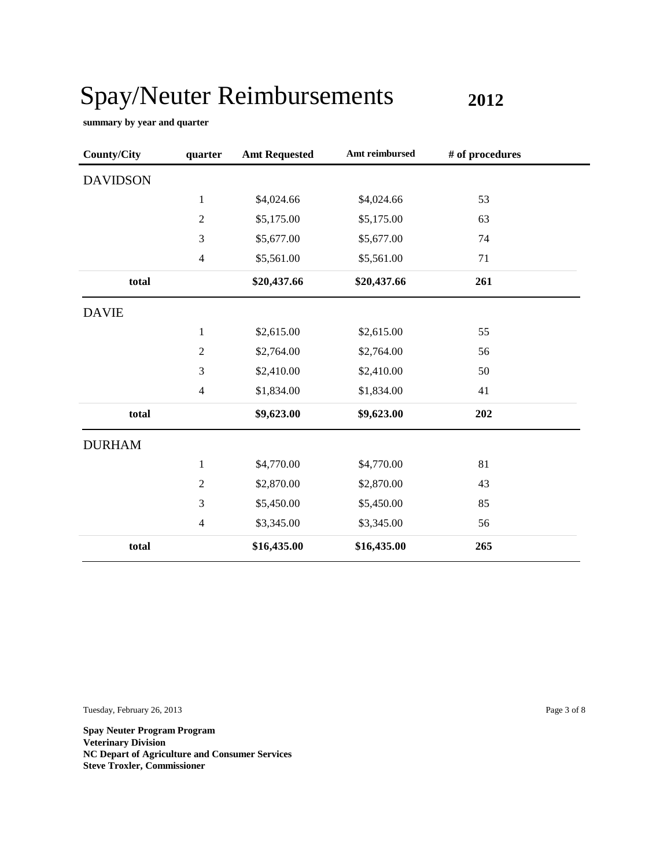**2012**

**summary by year and quarter**

| <b>County/City</b> | quarter                  | <b>Amt Requested</b> | Amt reimbursed | # of procedures |
|--------------------|--------------------------|----------------------|----------------|-----------------|
| <b>DAVIDSON</b>    |                          |                      |                |                 |
|                    | $\mathbf{1}$             | \$4,024.66           | \$4,024.66     | 53              |
|                    | $\overline{2}$           | \$5,175.00           | \$5,175.00     | 63              |
|                    | 3                        | \$5,677.00           | \$5,677.00     | 74              |
|                    | $\overline{\mathcal{L}}$ | \$5,561.00           | \$5,561.00     | 71              |
| total              |                          | \$20,437.66          | \$20,437.66    | 261             |
| <b>DAVIE</b>       |                          |                      |                |                 |
|                    | $\mathbf{1}$             | \$2,615.00           | \$2,615.00     | 55              |
|                    | $\sqrt{2}$               | \$2,764.00           | \$2,764.00     | 56              |
|                    | 3                        | \$2,410.00           | \$2,410.00     | 50              |
|                    | $\overline{4}$           | \$1,834.00           | \$1,834.00     | 41              |
| total              |                          | \$9,623.00           | \$9,623.00     | 202             |
| <b>DURHAM</b>      |                          |                      |                |                 |
|                    | $\mathbf{1}$             | \$4,770.00           | \$4,770.00     | 81              |
|                    | $\sqrt{2}$               | \$2,870.00           | \$2,870.00     | 43              |
|                    | 3                        | \$5,450.00           | \$5,450.00     | 85              |
|                    | $\overline{\mathcal{L}}$ | \$3,345.00           | \$3,345.00     | 56              |
| total              |                          | \$16,435.00          | \$16,435.00    | 265             |

Tuesday, February 26, 2013 Page 3 of 8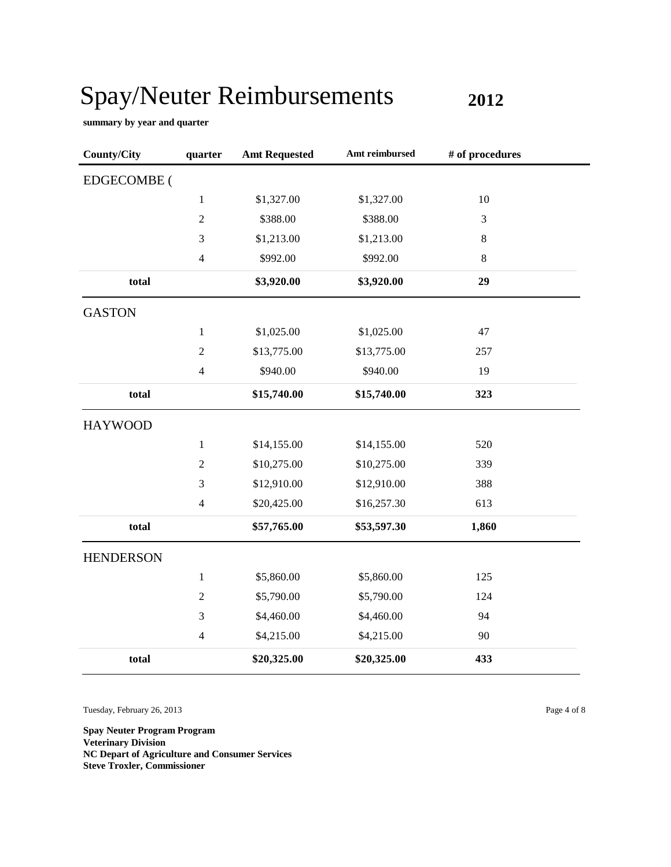**2012**

**summary by year and quarter**

| <b>County/City</b> | quarter        | <b>Amt Requested</b> | Amt reimbursed | # of procedures |  |
|--------------------|----------------|----------------------|----------------|-----------------|--|
| <b>EDGECOMBE</b> ( |                |                      |                |                 |  |
|                    | $\mathbf{1}$   | \$1,327.00           | \$1,327.00     | 10              |  |
|                    | $\sqrt{2}$     | \$388.00             | \$388.00       | 3               |  |
|                    | 3              | \$1,213.00           | \$1,213.00     | 8               |  |
|                    | $\overline{4}$ | \$992.00             | \$992.00       | $\,8\,$         |  |
| total              |                | \$3,920.00           | \$3,920.00     | 29              |  |
| <b>GASTON</b>      |                |                      |                |                 |  |
|                    | $\mathbf{1}$   | \$1,025.00           | \$1,025.00     | 47              |  |
|                    | $\sqrt{2}$     | \$13,775.00          | \$13,775.00    | 257             |  |
|                    | $\overline{4}$ | \$940.00             | \$940.00       | 19              |  |
| total              |                | \$15,740.00          | \$15,740.00    | 323             |  |
| <b>HAYWOOD</b>     |                |                      |                |                 |  |
|                    | $\mathbf{1}$   | \$14,155.00          | \$14,155.00    | 520             |  |
|                    | $\sqrt{2}$     | \$10,275.00          | \$10,275.00    | 339             |  |
|                    | 3              | \$12,910.00          | \$12,910.00    | 388             |  |
|                    | $\overline{4}$ | \$20,425.00          | \$16,257.30    | 613             |  |
| total              |                | \$57,765.00          | \$53,597.30    | 1,860           |  |
| <b>HENDERSON</b>   |                |                      |                |                 |  |
|                    | $\mathbf{1}$   | \$5,860.00           | \$5,860.00     | 125             |  |
|                    | $\overline{2}$ | \$5,790.00           | \$5,790.00     | 124             |  |
|                    | 3              | \$4,460.00           | \$4,460.00     | 94              |  |
|                    | $\overline{4}$ | \$4,215.00           | \$4,215.00     | 90              |  |
| total              |                | \$20,325.00          | \$20,325.00    | 433             |  |

Tuesday, February 26, 2013 Page 4 of 8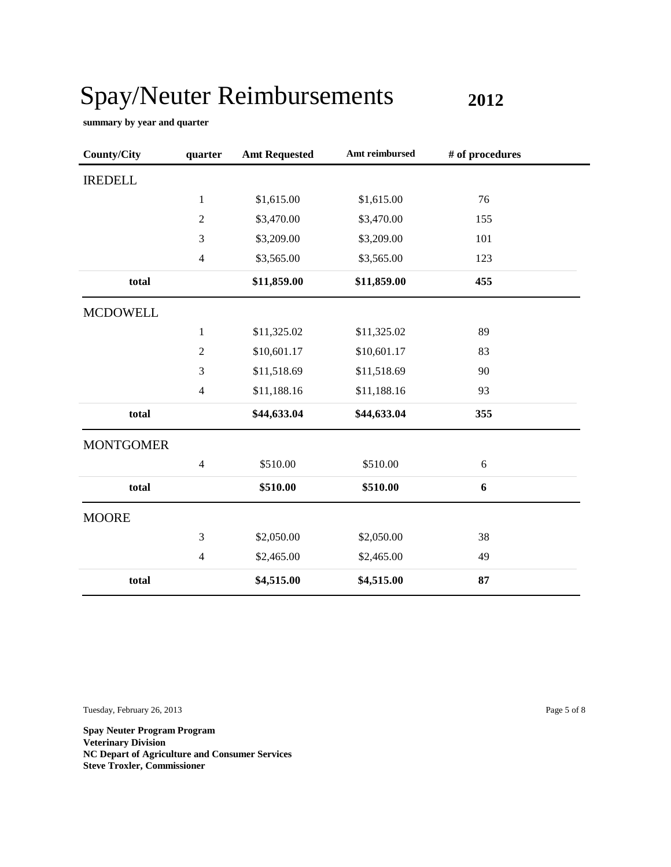**2012**

**summary by year and quarter**

| <b>County/City</b> | quarter        | <b>Amt Requested</b> | Amt reimbursed | # of procedures |  |
|--------------------|----------------|----------------------|----------------|-----------------|--|
| <b>IREDELL</b>     |                |                      |                |                 |  |
|                    | $\mathbf{1}$   | \$1,615.00           | \$1,615.00     | 76              |  |
|                    | $\overline{2}$ | \$3,470.00           | \$3,470.00     | 155             |  |
|                    | 3              | \$3,209.00           | \$3,209.00     | 101             |  |
|                    | $\overline{4}$ | \$3,565.00           | \$3,565.00     | 123             |  |
| total              |                | \$11,859.00          | \$11,859.00    | 455             |  |
| <b>MCDOWELL</b>    |                |                      |                |                 |  |
|                    | $\mathbf{1}$   | \$11,325.02          | \$11,325.02    | 89              |  |
|                    | $\sqrt{2}$     | \$10,601.17          | \$10,601.17    | 83              |  |
|                    | 3              | \$11,518.69          | \$11,518.69    | 90              |  |
|                    | $\overline{4}$ | \$11,188.16          | \$11,188.16    | 93              |  |
| total              |                | \$44,633.04          | \$44,633.04    | 355             |  |
| <b>MONTGOMER</b>   |                |                      |                |                 |  |
|                    | $\overline{4}$ | \$510.00             | \$510.00       | $\sqrt{6}$      |  |
| total              |                | \$510.00             | \$510.00       | 6               |  |
| <b>MOORE</b>       |                |                      |                |                 |  |
|                    | 3              | \$2,050.00           | \$2,050.00     | 38              |  |
|                    | $\overline{4}$ | \$2,465.00           | \$2,465.00     | 49              |  |
| total              |                | \$4,515.00           | \$4,515.00     | 87              |  |

Tuesday, February 26, 2013 Page 5 of 8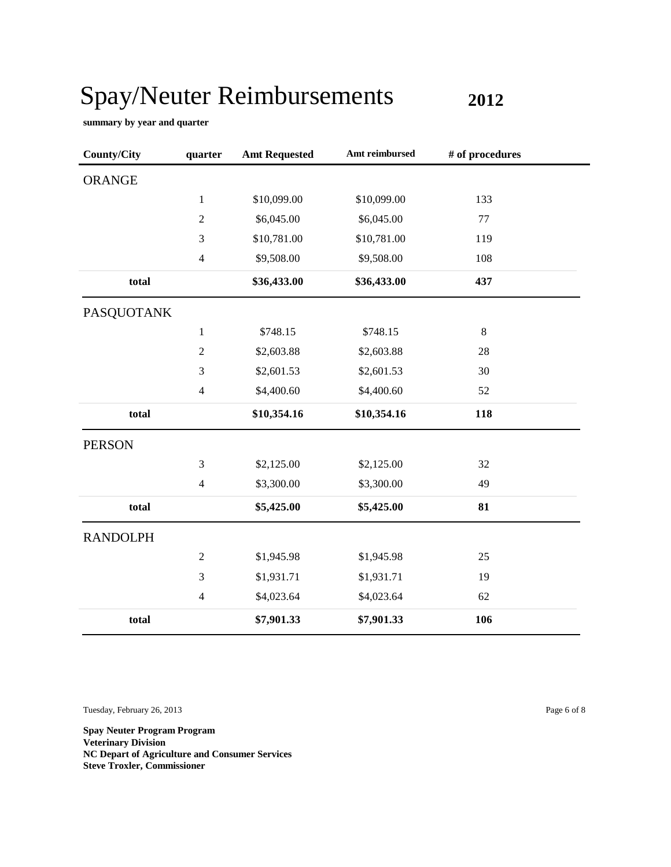**2012**

**summary by year and quarter**

| <b>County/City</b> | quarter        | <b>Amt Requested</b> | Amt reimbursed | # of procedures |  |
|--------------------|----------------|----------------------|----------------|-----------------|--|
| <b>ORANGE</b>      |                |                      |                |                 |  |
|                    | $\mathbf{1}$   | \$10,099.00          | \$10,099.00    | 133             |  |
|                    | $\sqrt{2}$     | \$6,045.00           | \$6,045.00     | 77              |  |
|                    | 3              | \$10,781.00          | \$10,781.00    | 119             |  |
|                    | $\overline{4}$ | \$9,508.00           | \$9,508.00     | 108             |  |
| total              |                | \$36,433.00          | \$36,433.00    | 437             |  |
| <b>PASQUOTANK</b>  |                |                      |                |                 |  |
|                    | $\,1$          | \$748.15             | \$748.15       | $\,8\,$         |  |
|                    | $\overline{c}$ | \$2,603.88           | \$2,603.88     | 28              |  |
|                    | 3              | \$2,601.53           | \$2,601.53     | 30              |  |
|                    | $\overline{4}$ | \$4,400.60           | \$4,400.60     | 52              |  |
| total              |                | \$10,354.16          | \$10,354.16    | 118             |  |
| <b>PERSON</b>      |                |                      |                |                 |  |
|                    | 3              | \$2,125.00           | \$2,125.00     | 32              |  |
|                    | $\overline{4}$ | \$3,300.00           | \$3,300.00     | 49              |  |
| total              |                | \$5,425.00           | \$5,425.00     | 81              |  |
| <b>RANDOLPH</b>    |                |                      |                |                 |  |
|                    | $\sqrt{2}$     | \$1,945.98           | \$1,945.98     | 25              |  |
|                    | 3              | \$1,931.71           | \$1,931.71     | 19              |  |
|                    | $\overline{4}$ | \$4,023.64           | \$4,023.64     | 62              |  |
| total              |                | \$7,901.33           | \$7,901.33     | 106             |  |

Tuesday, February 26, 2013 Page 6 of 8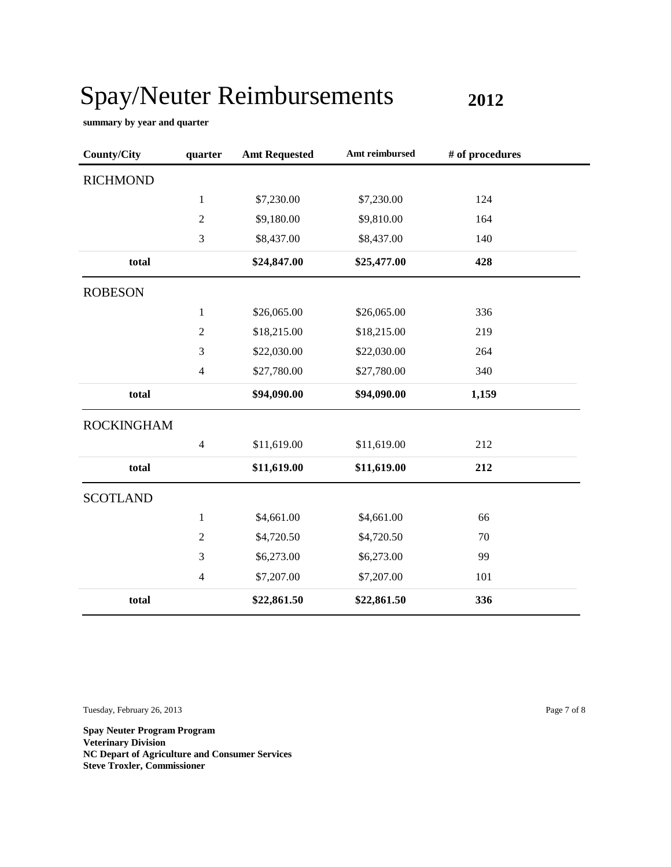**2012**

**summary by year and quarter**

| <b>County/City</b> | quarter        | <b>Amt Requested</b> | Amt reimbursed | # of procedures |
|--------------------|----------------|----------------------|----------------|-----------------|
| <b>RICHMOND</b>    |                |                      |                |                 |
|                    | $\mathbf{1}$   | \$7,230.00           | \$7,230.00     | 124             |
|                    | $\overline{2}$ | \$9,180.00           | \$9,810.00     | 164             |
|                    | 3              | \$8,437.00           | \$8,437.00     | 140             |
| total              |                | \$24,847.00          | \$25,477.00    | 428             |
| <b>ROBESON</b>     |                |                      |                |                 |
|                    | $\mathbf{1}$   | \$26,065.00          | \$26,065.00    | 336             |
|                    | $\sqrt{2}$     | \$18,215.00          | \$18,215.00    | 219             |
|                    | 3              | \$22,030.00          | \$22,030.00    | 264             |
|                    | $\overline{4}$ | \$27,780.00          | \$27,780.00    | 340             |
| total              |                | \$94,090.00          | \$94,090.00    | 1,159           |
| <b>ROCKINGHAM</b>  |                |                      |                |                 |
|                    | $\overline{4}$ | \$11,619.00          | \$11,619.00    | 212             |
| total              |                | \$11,619.00          | \$11,619.00    | 212             |
| <b>SCOTLAND</b>    |                |                      |                |                 |
|                    | $\mathbf{1}$   | \$4,661.00           | \$4,661.00     | 66              |
|                    | $\overline{2}$ | \$4,720.50           | \$4,720.50     | 70              |
|                    | 3              | \$6,273.00           | \$6,273.00     | 99              |
|                    | $\overline{4}$ | \$7,207.00           | \$7,207.00     | 101             |
| total              |                | \$22,861.50          | \$22,861.50    | 336             |

Tuesday, February 26, 2013 Page 7 of 8